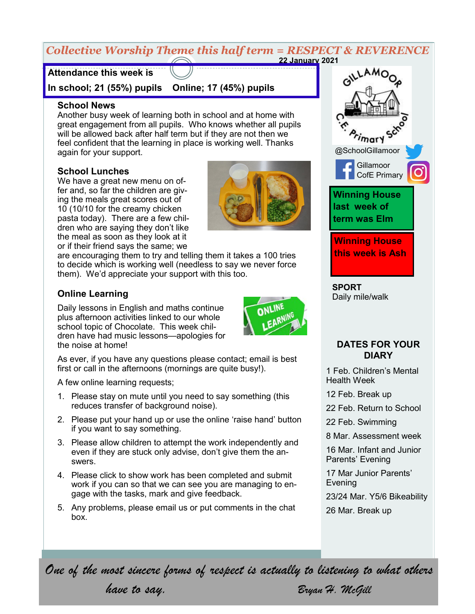#### *Collective Worship Theme this half term = RESPECT & REVERENCE* **22 January 2021**

## **Attendance this week is**

**In school; 21 (55%) pupils Online; 17 (45%) pupils**

#### **School News**

Another busy week of learning both in school and at home with great engagement from all pupils. Who knows whether all pupils will be allowed back after half term but if they are not then we feel confident that the learning in place is working well. Thanks again for your support.

#### **School Lunches**

We have a great new menu on offer and, so far the children are giving the meals great scores out of 10 (10/10 for the creamy chicken pasta today). There are a few children who are saying they don't like the meal as soon as they look at it or if their friend says the same; we



are encouraging them to try and telling them it takes a 100 tries to decide which is working well (needless to say we never force them). We'd appreciate your support with this too.

### **Online Learning**

Daily lessons in English and maths continue plus afternoon activities linked to our whole school topic of Chocolate. This week children have had music lessons—apologies for the noise at home!



As ever, if you have any questions please contact; email is best first or call in the afternoons (mornings are quite busy!).

A few online learning requests;

- 1. Please stay on mute until you need to say something (this reduces transfer of background noise).
- 2. Please put your hand up or use the online 'raise hand' button if you want to say something.
- 3. Please allow children to attempt the work independently and even if they are stuck only advise, don't give them the answers.
- 4. Please click to show work has been completed and submit work if you can so that we can see you are managing to engage with the tasks, mark and give feedback.
- 5. Any problems, please email us or put comments in the chat box.



**SPORT** Daily mile/walk

#### **DATES FOR YOUR DIARY**

1 Feb. Children's Mental Health Week

12 Feb. Break up

22 Feb. Return to School

22 Feb. Swimming

8 Mar. Assessment week

16 Mar. Infant and Junior Parents' Evening

17 Mar Junior Parents' Evening

23/24 Mar. Y5/6 Bikeability

26 Mar. Break up

*One of the most sincere forms of respect is actually to listening to what others* 

*have to say. Bryan H. McGill*